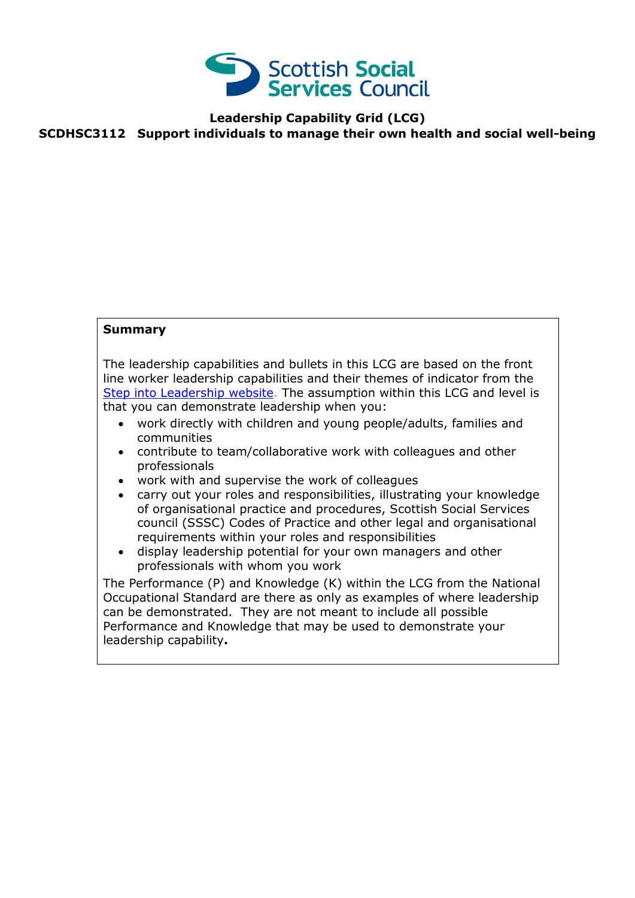

#### **Leadership Capability Grid (LCG) SCDHSC3112 Support individuals to manage their own health and social well-being**

#### **Summary**

The leadership capabilities and bullets in this LCG are based on the front line worker leadership capabilities and their themes of indicator from the [Step into Leadership website.](http://www.stepintoleadership.info/) The assumption within this LCG and level is that you can demonstrate leadership when you:

- work directly with children and young people/adults, families and communities
- contribute to team/collaborative work with colleagues and other professionals
- work with and supervise the work of colleagues
- carry out your roles and responsibilities, illustrating your knowledge of organisational practice and procedures, Scottish Social Services council (SSSC) Codes of Practice and other legal and organisational requirements within your roles and responsibilities
- display leadership potential for your own managers and other professionals with whom you work

The Performance (P) and Knowledge (K) within the LCG from the National Occupational Standard are there as only as examples of where leadership can be demonstrated. They are not meant to include all possible Performance and Knowledge that may be used to demonstrate your leadership capability**.**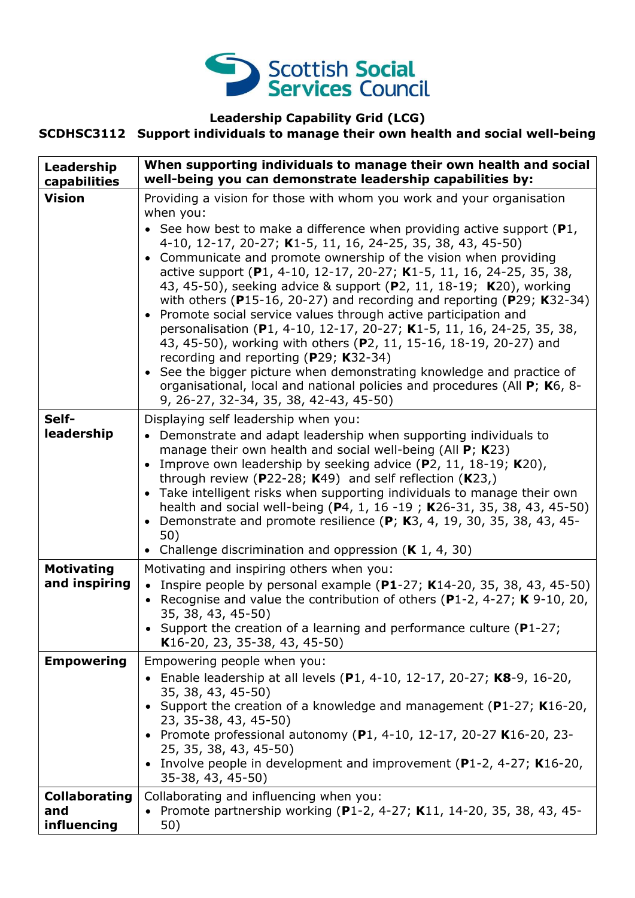

#### **Leadership Capability Grid (LCG)**

### **SCDHSC3112 Support individuals to manage their own health and social well-being**

| Leadership<br>capabilities                 | When supporting individuals to manage their own health and social<br>well-being you can demonstrate leadership capabilities by:                                                                                                                                                                                                                                                                                                                                                                                                                                                                                                                                                                                                                                                                                                                                                                                                                                                         |
|--------------------------------------------|-----------------------------------------------------------------------------------------------------------------------------------------------------------------------------------------------------------------------------------------------------------------------------------------------------------------------------------------------------------------------------------------------------------------------------------------------------------------------------------------------------------------------------------------------------------------------------------------------------------------------------------------------------------------------------------------------------------------------------------------------------------------------------------------------------------------------------------------------------------------------------------------------------------------------------------------------------------------------------------------|
| <b>Vision</b>                              | Providing a vision for those with whom you work and your organisation<br>when you:<br>• See how best to make a difference when providing active support ( $P1$ ,<br>4-10, 12-17, 20-27; K1-5, 11, 16, 24-25, 35, 38, 43, 45-50)<br>Communicate and promote ownership of the vision when providing<br>active support (P1, 4-10, 12-17, 20-27; K1-5, 11, 16, 24-25, 35, 38,<br>43, 45-50), seeking advice & support (P2, 11, 18-19; K20), working<br>with others ( $P15-16$ , 20-27) and recording and reporting ( $P29$ ; K32-34)<br>Promote social service values through active participation and<br>personalisation (P1, 4-10, 12-17, 20-27; K1-5, 11, 16, 24-25, 35, 38,<br>43, 45-50), working with others (P2, 11, 15-16, 18-19, 20-27) and<br>recording and reporting (P29; K32-34)<br>See the bigger picture when demonstrating knowledge and practice of<br>organisational, local and national policies and procedures (All P; K6, 8-<br>9, 26-27, 32-34, 35, 38, 42-43, 45-50) |
| Self-<br>leadership                        | Displaying self leadership when you:<br>• Demonstrate and adapt leadership when supporting individuals to<br>manage their own health and social well-being (All P; K23)<br>Improve own leadership by seeking advice $(P2, 11, 18-19; K20)$ ,<br>through review (P22-28; K49) and self reflection $(K23)$ ,<br>• Take intelligent risks when supporting individuals to manage their own<br>health and social well-being (P4, 1, 16 -19; K26-31, 35, 38, 43, 45-50)<br>Demonstrate and promote resilience (P; K3, 4, 19, 30, 35, 38, 43, 45-<br>50)<br>Challenge discrimination and oppression $(K 1, 4, 30)$                                                                                                                                                                                                                                                                                                                                                                             |
| <b>Motivating</b><br>and inspiring         | Motivating and inspiring others when you:<br>• Inspire people by personal example (P1-27; K14-20, 35, 38, 43, 45-50)<br>• Recognise and value the contribution of others (P1-2, 4-27; K 9-10, 20,<br>35, 38, 43, 45-50)<br>Support the creation of a learning and performance culture ( $P1-27$ ;<br>K16-20, 23, 35-38, 43, 45-50)                                                                                                                                                                                                                                                                                                                                                                                                                                                                                                                                                                                                                                                      |
| <b>Empowering</b>                          | Empowering people when you:<br>• Enable leadership at all levels (P1, 4-10, 12-17, 20-27; K8-9, 16-20,<br>35, 38, 43, 45-50)<br>Support the creation of a knowledge and management (P1-27; K16-20,<br>23, 35-38, 43, 45-50)<br>• Promote professional autonomy (P1, 4-10, 12-17, 20-27 K16-20, 23-<br>25, 35, 38, 43, 45-50)<br>• Involve people in development and improvement (P1-2, 4-27; K16-20,<br>35-38, 43, 45-50)                                                                                                                                                                                                                                                                                                                                                                                                                                                                                                                                                               |
| <b>Collaborating</b><br>and<br>influencing | Collaborating and influencing when you:<br>Promote partnership working (P1-2, 4-27; K11, 14-20, 35, 38, 43, 45-<br>$\bullet$<br>50)                                                                                                                                                                                                                                                                                                                                                                                                                                                                                                                                                                                                                                                                                                                                                                                                                                                     |